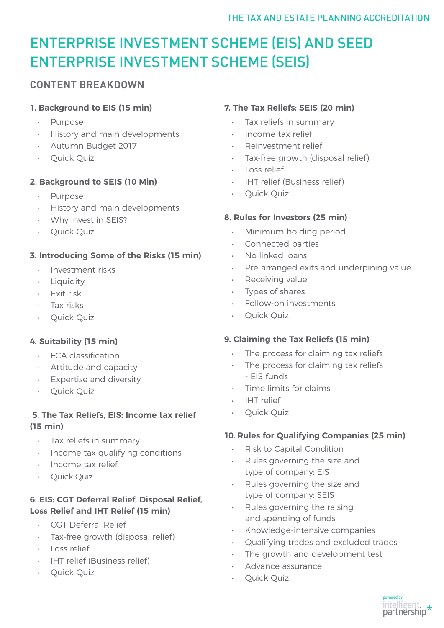# ENTERPRISE INVESTMENT SCHEME (EIS) AND SEED ENTERPRISE INVESTMENT SCHEME (SEIS)

# **CONTENT BREAKDOWN**

### **1. Background to EIS (15 min)**

- Purpose
- History and main developments
- Autumn Budget 2017
- Quick Quiz

## **2. Background to SEIS (10 Min)**

- Purpose
- History and main developments
- Why invest in SEIS?
- Quick Quiz

## **3. Introducing Some of the Risks (15 min)**

- Investment risks
- Liquidity
- Exit risk
- Tax risks
- Quick Quiz

## **4. Suitability (15 min)**

- FCA classification
- Attitude and capacity
- Expertise and diversity
- Quick Quiz

### **5. The Tax Reliefs, EIS: Income tax relief (15 min)**

- Tax reliefs in summary
- Income tax qualifying conditions
- Income tax relief
- Quick Quiz

## **6. EIS: CGT Deferral Relief, Disposal Relief, Loss Relief and IHT Relief (15 min)**

- CGT Deferral Relief
- Tax-free growth (disposal relief)
- Loss relief
- IHT relief (Business relief)
- Quick Quiz

# **7. The Tax Reliefs: SEIS (20 min)**

- Tax reliefs in summary
- Income tax relief
- Reinvestment relief
- Tax-free growth (disposal relief)
- Loss relief
- IHT relief (Business relief)
- Quick Quiz

## **8. Rules for Investors (25 min)**

- Minimum holding period
- Connected parties
- No linked loans
- Pre-arranged exits and underpining value
- Receiving value
- Types of shares
- Follow-on investments
- Quick Quiz

## **9. Claiming the Tax Reliefs (15 min)**

- The process for claiming tax reliefs
- The process for claiming tax reliefs - EIS funds
- Time limits for claims
- IHT relief
- Quick Quiz

## **10. Rules for Qualifying Companies (25 min)**

- Risk to Capital Condition
- Rules governing the size and type of company: EIS
- Rules governing the size and type of company: SEIS
- Rules governing the raising and spending of funds
- Knowledge-intensive companies
- Qualifying trades and excluded trades
- The growth and development test
- Advance assurance
- Quick Quiz